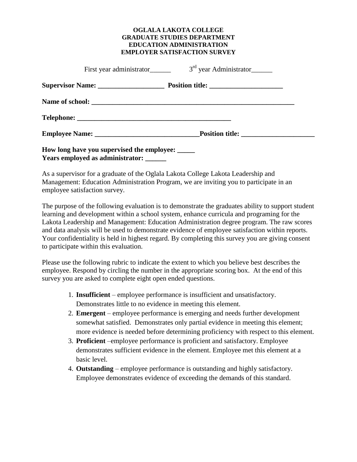## **OGLALA LAKOTA COLLEGE GRADUATE STUDIES DEPARTMENT EDUCATION ADMINISTRATION EMPLOYER SATISFACTION SURVEY**

|                                                  | First year administrator $3rd$ year Administrator |
|--------------------------------------------------|---------------------------------------------------|
|                                                  |                                                   |
|                                                  |                                                   |
|                                                  |                                                   |
|                                                  |                                                   |
| How long have you supervised the employee: _____ |                                                   |

**Years employed as administrator: \_\_\_\_\_\_**

As a supervisor for a graduate of the Oglala Lakota College Lakota Leadership and Management: Education Administration Program, we are inviting you to participate in an employee satisfaction survey.

The purpose of the following evaluation is to demonstrate the graduates ability to support student learning and development within a school system, enhance curricula and programing for the Lakota Leadership and Management: Education Administration degree program. The raw scores and data analysis will be used to demonstrate evidence of employee satisfaction within reports. Your confidentiality is held in highest regard. By completing this survey you are giving consent to participate within this evaluation.

Please use the following rubric to indicate the extent to which you believe best describes the employee. Respond by circling the number in the appropriate scoring box. At the end of this survey you are asked to complete eight open ended questions.

- 1. **Insufficient** employee performance is insufficient and unsatisfactory. Demonstrates little to no evidence in meeting this element.
- 2. **Emergent** employee performance is emerging and needs further development somewhat satisfied. Demonstrates only partial evidence in meeting this element; more evidence is needed before determining proficiency with respect to this element.
- 3. **Proficient** –employee performance is proficient and satisfactory. Employee demonstrates sufficient evidence in the element. Employee met this element at a basic level.
- 4. **Outstanding** employee performance is outstanding and highly satisfactory. Employee demonstrates evidence of exceeding the demands of this standard.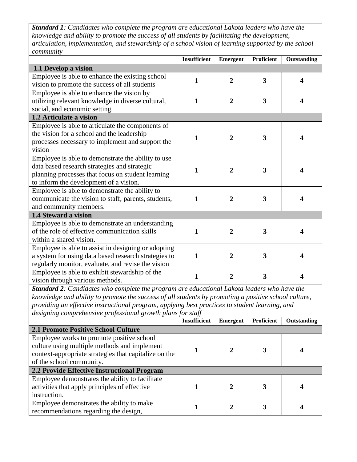*Standard 1: Candidates who complete the program are educational Lakota leaders who have the knowledge and ability to promote the success of all students by facilitating the development, articulation, implementation, and stewardship of a school vision of learning supported by the school community*

|                                                      | <b>Insufficient</b> | <b>Emergent</b> | <b>Proficient</b>       | Outstanding      |
|------------------------------------------------------|---------------------|-----------------|-------------------------|------------------|
| 1.1 Develop a vision                                 |                     |                 |                         |                  |
| Employee is able to enhance the existing school      | 1                   | $\overline{2}$  | $\overline{\mathbf{3}}$ | $\boldsymbol{4}$ |
| vision to promote the success of all students        |                     |                 |                         |                  |
| Employee is able to enhance the vision by            |                     |                 |                         |                  |
| utilizing relevant knowledge in diverse cultural,    | $\mathbf{1}$        | $\overline{2}$  | $\mathbf{3}$            | 4                |
| social, and economic setting.                        |                     |                 |                         |                  |
| 1.2 Articulate a vision                              |                     |                 |                         |                  |
| Employee is able to articulate the components of     |                     |                 |                         |                  |
| the vision for a school and the leadership           | $\mathbf{1}$        | $\overline{2}$  | $\overline{\mathbf{3}}$ |                  |
| processes necessary to implement and support the     |                     |                 |                         |                  |
| vision                                               |                     |                 |                         |                  |
| Employee is able to demonstrate the ability to use   |                     |                 |                         |                  |
| data based research strategies and strategic         | 1                   | $\overline{2}$  | 3                       | 4                |
| planning processes that focus on student learning    |                     |                 |                         |                  |
| to inform the development of a vision.               |                     |                 |                         |                  |
| Employee is able to demonstrate the ability to       |                     |                 |                         |                  |
| communicate the vision to staff, parents, students,  | $\mathbf{1}$        | $\overline{2}$  | $\overline{\mathbf{3}}$ |                  |
| and community members.                               |                     |                 |                         |                  |
| 1.4 Steward a vision                                 |                     |                 |                         |                  |
| Employee is able to demonstrate an understanding     |                     |                 |                         |                  |
| of the role of effective communication skills        | $\mathbf{1}$        | $\overline{2}$  | 3                       | 4                |
| within a shared vision.                              |                     |                 |                         |                  |
| Employee is able to assist in designing or adopting  |                     |                 |                         |                  |
| a system for using data based research strategies to | $\mathbf{1}$        | $\overline{2}$  | 3                       | Δ                |
| regularly monitor, evaluate, and revise the vision   |                     |                 |                         |                  |
| Employee is able to exhibit stewardship of the       | 1                   | $\overline{2}$  | 3                       |                  |
| vision through various methods.                      |                     |                 |                         |                  |

*Standard 2: Candidates who complete the program are educational Lakota leaders who have the knowledge and ability to promote the success of all students by promoting a positive school culture, providing an effective instructional program, applying best practices to student learning, and designing comprehensive professional growth plans for staff*

|                                                       | <b>Insufficient</b> | <b>Emergent</b> | <b>Proficient</b> | Outstanding |
|-------------------------------------------------------|---------------------|-----------------|-------------------|-------------|
| <b>2.1 Promote Positive School Culture</b>            |                     |                 |                   |             |
| Employee works to promote positive school             |                     |                 |                   |             |
| culture using multiple methods and implement          |                     |                 |                   |             |
| context-appropriate strategies that capitalize on the |                     |                 |                   |             |
| of the school community.                              |                     |                 |                   |             |
| 2.2 Provide Effective Instructional Program           |                     |                 |                   |             |
| Employee demonstrates the ability to facilitate       |                     |                 |                   |             |
| activities that apply principles of effective         |                     | 7               |                   |             |
| instruction.                                          |                     |                 |                   |             |
| Employee demonstrates the ability to make             |                     |                 |                   |             |
| recommendations regarding the design,                 |                     |                 |                   |             |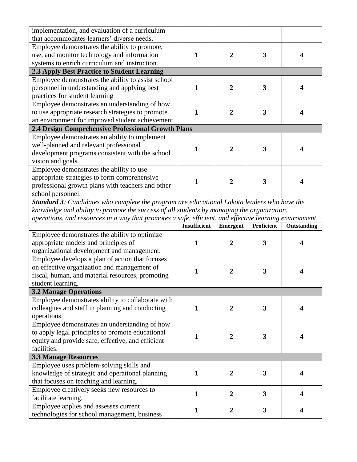| implementation, and evaluation of a curriculum     |  |    |   |  |
|----------------------------------------------------|--|----|---|--|
| that accommodates learners' diverse needs.         |  |    |   |  |
| Employee demonstrates the ability to promote,      |  |    |   |  |
| use, and monitor technology and information        |  | 2  | 3 |  |
| systems to enrich curriculum and instruction.      |  |    |   |  |
| 2.3 Apply Best Practice to Student Learning        |  |    |   |  |
| Employee demonstrates the ability to assist school |  |    |   |  |
| personnel in understanding and applying best       |  |    | 3 |  |
| practices for student learning                     |  |    |   |  |
| Employee demonstrates an understanding of how      |  |    |   |  |
| to use appropriate research strategies to promote  |  | 2. | 3 |  |
| an environment for improved student achievement    |  |    |   |  |
| 2.4 Design Comprehensive Professional Growth Plans |  |    |   |  |
| Employee demonstrates an ability to implement      |  |    |   |  |
| well-planned and relevant professional             |  |    | 3 |  |
| development programs consistent with the school    |  |    |   |  |
| vision and goals.                                  |  |    |   |  |
| Employee demonstrates the ability to use           |  |    |   |  |
| appropriate strategies to form comprehensive       |  |    | 3 |  |
| professional growth plans with teachers and other  |  |    |   |  |
| school personnel.                                  |  |    |   |  |

*Standard 3: Candidates who complete the program are educational Lakota leaders who have the knowledge and ability to promote the success of all students by managing the organization, operations, and resources in a way that promotes a safe, efficient, and effective learning environment*

|                                                   | <b>Insufficient</b> | Emergent       | Proficient | Outstanding |
|---------------------------------------------------|---------------------|----------------|------------|-------------|
| Employee demonstrates the ability to optimize     |                     |                |            |             |
| appropriate models and principles of              | 1                   | 2              | 3          | Δ           |
| organizational development and management.        |                     |                |            |             |
| Employee develops a plan of action that focuses   |                     |                |            |             |
| on effective organization and management of       | $\mathbf{1}$        | $\overline{2}$ | 3          |             |
| fiscal, human, and material resources, promoting  |                     |                |            |             |
| student learning.                                 |                     |                |            |             |
| <b>3.2 Manage Operations</b>                      |                     |                |            |             |
| Employee demonstrates ability to collaborate with |                     |                |            |             |
| colleagues and staff in planning and conducting   | 1                   | $\overline{2}$ | 3          |             |
| operations.                                       |                     |                |            |             |
| Employee demonstrates an understanding of how     |                     |                |            |             |
| to apply legal principles to promote educational  | 1                   | $\mathbf{2}$   | 3          | Δ           |
| equity and provide safe, effective, and efficient |                     |                |            |             |
| facilities.                                       |                     |                |            |             |
| <b>3.3 Manage Resources</b>                       |                     |                |            |             |
| Employee uses problem-solving skills and          |                     |                |            |             |
| knowledge of strategic and operational planning   | 1                   | $\overline{2}$ | 3          | Δ           |
| that focuses on teaching and learning.            |                     |                |            |             |
| Employee creatively seeks new resources to        | $\mathbf{1}$        | $\mathbf 2$    | 3          | Δ           |
| facilitate learning.                              |                     |                |            |             |
| Employee applies and assesses current             | 1                   | 2              | 3          |             |
| technologies for school management, business      |                     |                |            |             |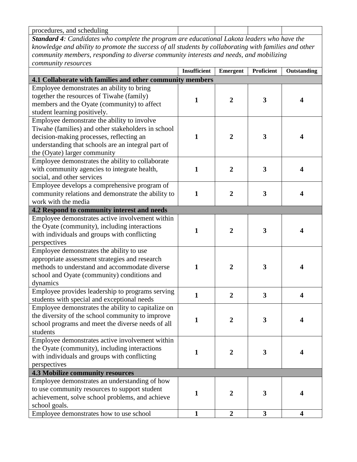| and<br>scheduling<br>procedures. |        |  |
|----------------------------------|--------|--|
| --<br>__                         | $\sim$ |  |

*Standard 4: Candidates who complete the program are educational Lakota leaders who have the knowledge and ability to promote the success of all students by collaborating with families and other community members, responding to diverse community interests and needs, and mobilizing community resources*

|                                                                                                                                                                                                                                     | Insufficient | Emergent         | <b>Proficient</b>       | Outstanding             |
|-------------------------------------------------------------------------------------------------------------------------------------------------------------------------------------------------------------------------------------|--------------|------------------|-------------------------|-------------------------|
| 4.1 Collaborate with families and other community members                                                                                                                                                                           |              |                  |                         |                         |
| Employee demonstrates an ability to bring<br>together the resources of Tiwahe (family)<br>members and the Oyate (community) to affect                                                                                               | 1            | $\boldsymbol{2}$ | 3                       | 4                       |
| student learning positively.                                                                                                                                                                                                        |              |                  |                         |                         |
| Employee demonstrate the ability to involve<br>Tiwahe (families) and other stakeholders in school<br>decision-making processes, reflecting an<br>understanding that schools are an integral part of<br>the (Oyate) larger community | 1            | $\overline{2}$   | 3                       | 4                       |
| Employee demonstrates the ability to collaborate<br>with community agencies to integrate health,<br>social, and other services                                                                                                      | $\mathbf{1}$ | $\overline{2}$   | 3                       | $\blacktriangleleft$    |
| Employee develops a comprehensive program of<br>community relations and demonstrate the ability to<br>work with the media                                                                                                           | $\mathbf{1}$ | $\overline{2}$   | $\overline{\mathbf{3}}$ | $\boldsymbol{4}$        |
| 4.2 Respond to community interest and needs                                                                                                                                                                                         |              |                  |                         |                         |
| Employee demonstrates active involvement within<br>the Oyate (community), including interactions<br>with individuals and groups with conflicting<br>perspectives                                                                    | $\mathbf{1}$ | $\overline{2}$   | 3                       | 4                       |
| Employee demonstrates the ability to use<br>appropriate assessment strategies and research<br>methods to understand and accommodate diverse<br>school and Oyate (community) conditions and<br>dynamics                              | $\mathbf{1}$ | $\overline{2}$   | 3                       | 4                       |
| Employee provides leadership to programs serving<br>students with special and exceptional needs                                                                                                                                     | $\mathbf{1}$ | $\overline{2}$   | 3                       | 4                       |
| Employee demonstrates the ability to capitalize on<br>the diversity of the school community to improve<br>school programs and meet the diverse needs of all<br>students                                                             | 1            | $\overline{2}$   | 3                       | 4                       |
| Employee demonstrates active involvement within<br>the Oyate (community), including interactions<br>with individuals and groups with conflicting<br>perspectives                                                                    | $\mathbf{1}$ | $\boldsymbol{2}$ | 3                       | $\boldsymbol{4}$        |
| <b>4.3 Mobilize community resources</b>                                                                                                                                                                                             |              |                  |                         |                         |
| Employee demonstrates an understanding of how<br>to use community resources to support student<br>achievement, solve school problems, and achieve<br>school goals.                                                                  | 1            | $\overline{2}$   | 3                       | 4                       |
| Employee demonstrates how to use school                                                                                                                                                                                             | $\mathbf{1}$ | $\boldsymbol{2}$ | 3                       | $\overline{\mathbf{4}}$ |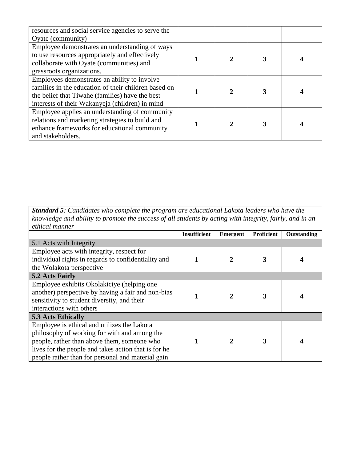| resources and social service agencies to serve the   |  |  |
|------------------------------------------------------|--|--|
| Oyate (community)                                    |  |  |
| Employee demonstrates an understanding of ways       |  |  |
| to use resources appropriately and effectively       |  |  |
| collaborate with Oyate (communities) and             |  |  |
| grassroots organizations.                            |  |  |
| Employees demonstrates an ability to involve         |  |  |
| families in the education of their children based on |  |  |
| the belief that Tiwahe (families) have the best      |  |  |
| interests of their Wakanyeja (children) in mind      |  |  |
| Employee applies an understanding of community       |  |  |
| relations and marketing strategies to build and      |  |  |
| enhance frameworks for educational community         |  |  |
| and stakeholders.                                    |  |  |

## *Standard 5: Candidates who complete the program are educational Lakota leaders who have the knowledge and ability to promote the success of all students by acting with integrity, fairly, and in an ethical manner*

|                                                      | <b>Insufficient</b> | Emergent     | <b>Proficient</b> | Outstanding |
|------------------------------------------------------|---------------------|--------------|-------------------|-------------|
| 5.1 Acts with Integrity                              |                     |              |                   |             |
| Employee acts with integrity, respect for            |                     |              |                   |             |
| individual rights in regards to confidentiality and  |                     |              | 3                 |             |
| the Wolakota perspective                             |                     |              |                   |             |
| 5.2 Acts Fairly                                      |                     |              |                   |             |
| Employee exhibits Okolakiciye (helping one           |                     |              |                   |             |
| another) perspective by having a fair and non-bias   |                     |              | 3                 |             |
| sensitivity to student diversity, and their          |                     |              |                   |             |
| interactions with others                             |                     |              |                   |             |
| <b>5.3 Acts Ethically</b>                            |                     |              |                   |             |
| Employee is ethical and utilizes the Lakota          |                     |              |                   |             |
| philosophy of working for with and among the         |                     |              |                   |             |
| people, rather than above them, someone who          |                     | $\mathbf{c}$ |                   |             |
| lives for the people and takes action that is for he |                     |              |                   |             |
| people rather than for personal and material gain    |                     |              |                   |             |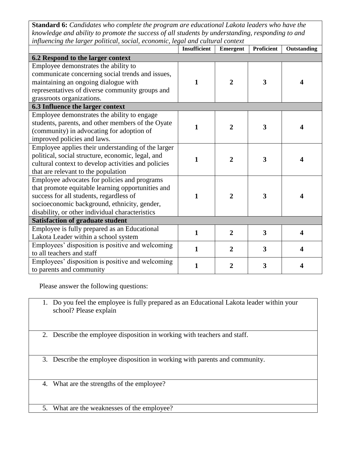**Standard 6:** *Candidates who complete the program are educational Lakota leaders who have the knowledge and ability to promote the success of all students by understanding, responding to and influencing the larger political, social, economic, legal and cultural context*

|                                                                                                                                                                                                                                                 | <b>Insufficient</b> | <b>Emergent</b> | Proficient              | Outstanding |
|-------------------------------------------------------------------------------------------------------------------------------------------------------------------------------------------------------------------------------------------------|---------------------|-----------------|-------------------------|-------------|
| 6.2 Respond to the larger context                                                                                                                                                                                                               |                     |                 |                         |             |
| Employee demonstrates the ability to<br>communicate concerning social trends and issues,<br>maintaining an ongoing dialogue with<br>representatives of diverse community groups and<br>grassroots organizations.                                | 1                   | $\overline{2}$  | 3                       | 4           |
| 6.3 Influence the larger context                                                                                                                                                                                                                |                     |                 |                         |             |
| Employee demonstrates the ability to engage<br>students, parents, and other members of the Oyate<br>(community) in advocating for adoption of<br>improved policies and laws.                                                                    | $\mathbf{1}$        | $\overline{2}$  | 3                       | 4           |
| Employee applies their understanding of the larger<br>political, social structure, economic, legal, and<br>cultural context to develop activities and policies<br>that are relevant to the population                                           | $\mathbf{1}$        | $\overline{2}$  | $\overline{\mathbf{3}}$ | 4           |
| Employee advocates for policies and programs<br>that promote equitable learning opportunities and<br>success for all students, regardless of<br>socioeconomic background, ethnicity, gender,<br>disability, or other individual characteristics | $\mathbf{1}$        | $\overline{2}$  | 3                       | 4           |
| <b>Satisfaction of graduate student</b>                                                                                                                                                                                                         |                     |                 |                         |             |
| Employee is fully prepared as an Educational<br>Lakota Leader within a school system                                                                                                                                                            | $\mathbf{1}$        | $\overline{2}$  | 3                       | 4           |
| Employees' disposition is positive and welcoming<br>to all teachers and staff                                                                                                                                                                   | $\mathbf{1}$        | $\overline{2}$  | 3                       | 4           |
| Employees' disposition is positive and welcoming<br>to parents and community                                                                                                                                                                    | 1                   | $\overline{2}$  | 3                       | 4           |

Please answer the following questions:

- 1. Do you feel the employee is fully prepared as an Educational Lakota leader within your school? Please explain
- 2. Describe the employee disposition in working with teachers and staff.
- 3. Describe the employee disposition in working with parents and community.
- 4. What are the strengths of the employee?
- 5. What are the weaknesses of the employee?